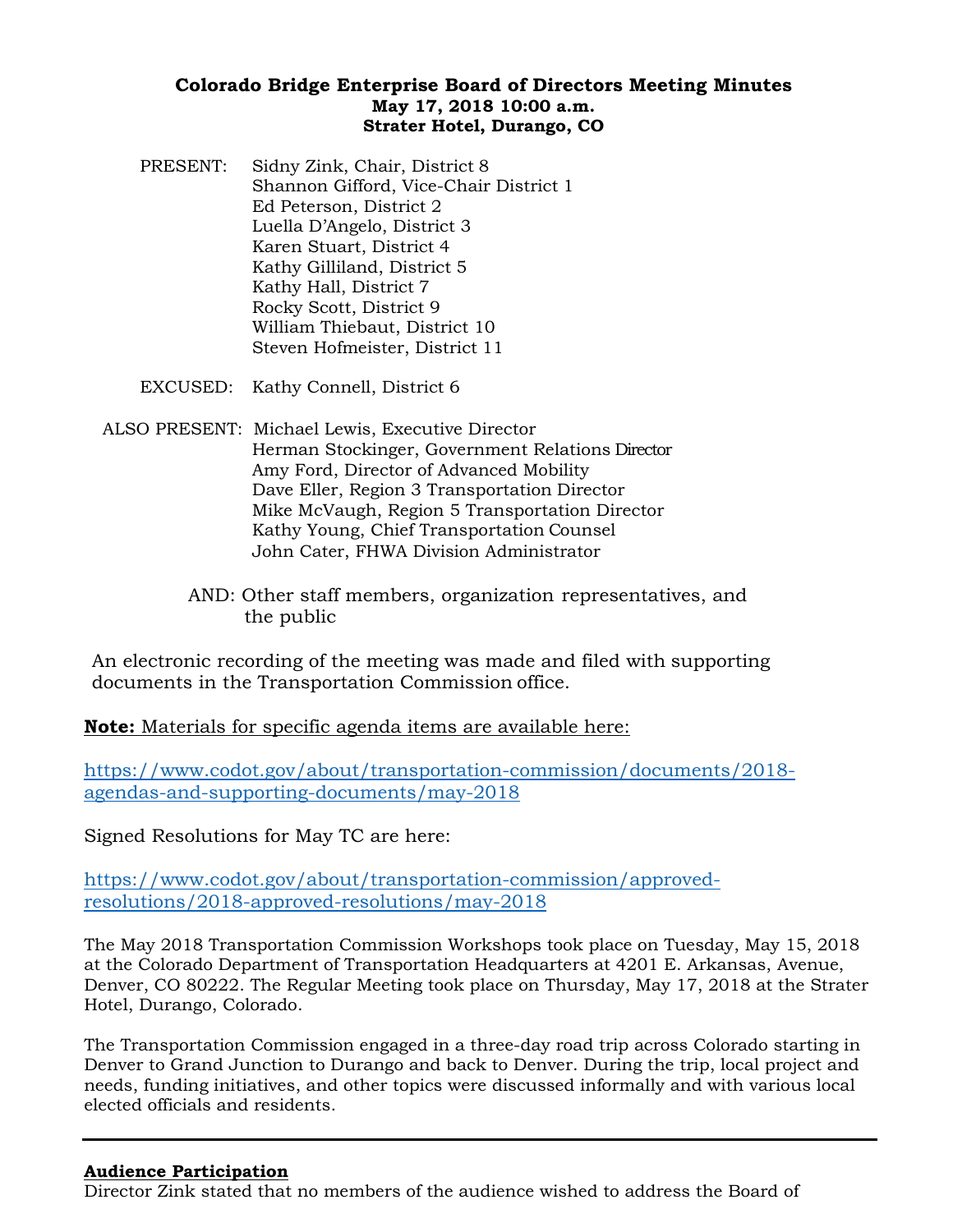# **Colorado Bridge Enterprise Board of Directors Meeting Minutes May 17, 2018 10:00 a.m. Strater Hotel, Durango, CO**

PRESENT: Sidny Zink, Chair, District 8 Shannon Gifford, Vice-Chair District 1 Ed Peterson, District 2 Luella D'Angelo, District 3 Karen Stuart, District 4 Kathy Gilliland, District 5 Kathy Hall, District 7 Rocky Scott, District 9 William Thiebaut, District 10 Steven Hofmeister, District 11

EXCUSED: Kathy Connell, District 6

- ALSO PRESENT: Michael Lewis, Executive Director Herman Stockinger, Government Relations Director Amy Ford, Director of Advanced Mobility Dave Eller, Region 3 Transportation Director Mike McVaugh, Region 5 Transportation Director Kathy Young, Chief Transportation Counsel John Cater, FHWA Division Administrator
	- AND: Other staff members, organization representatives, and the public

An electronic recording of the meeting was made and filed with supporting documents in the Transportation Commission office.

**Note:** Materials for specific agenda items are available here:

[https://www.codot.gov/about/transportation-commission/documents/2018](https://www.codot.gov/about/transportation-commission/documents/2018-agendas-and-supporting-documents/may-2018) [agendas-and-supporting-documents/may-2018](https://www.codot.gov/about/transportation-commission/documents/2018-agendas-and-supporting-documents/may-2018)

Signed Resolutions for May TC are here:

[https://www.codot.gov/about/transportation-commission/approved](https://www.codot.gov/about/transportation-commission/approved-resolutions/2018-approved-resolutions/may-2018)[resolutions/2018-approved-resolutions/may-2018](https://www.codot.gov/about/transportation-commission/approved-resolutions/2018-approved-resolutions/may-2018)

The May 2018 Transportation Commission Workshops took place on Tuesday, May 15, 2018 at the Colorado Department of Transportation Headquarters at 4201 E. Arkansas, Avenue, Denver, CO 80222. The Regular Meeting took place on Thursday, May 17, 2018 at the Strater Hotel, Durango, Colorado.

The Transportation Commission engaged in a three-day road trip across Colorado starting in Denver to Grand Junction to Durango and back to Denver. During the trip, local project and needs, funding initiatives, and other topics were discussed informally and with various local elected officials and residents.

## **Audience Participation**

Director Zink stated that no members of the audience wished to address the Board of